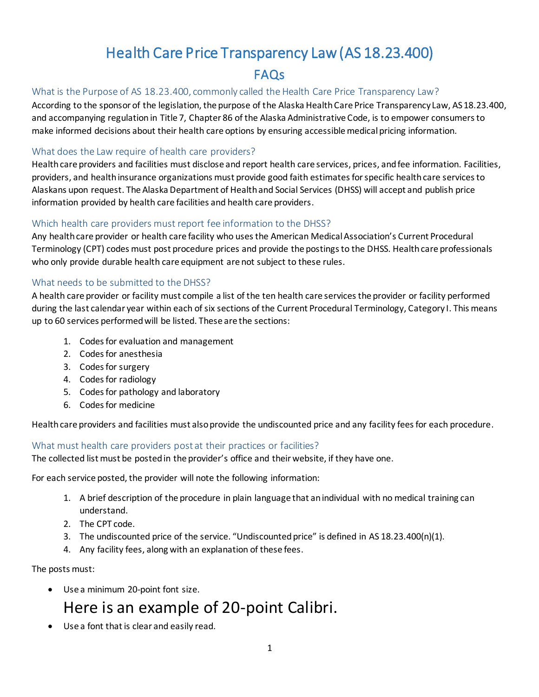# Health Care Price Transparency Law (AS 18.23.400) FAQs

#### What is the Purpose of AS 18.23.400, commonly called the Health Care Price Transparency Law?

According to the sponsor of the legislation, the purpose of the Alaska Health Care Price Transparency Law, AS 18.23.400, and accompanying regulation in Title 7, Chapter 86 of the Alaska Administrative Code, is to empower consumers to make informed decisions about their health care options by ensuring accessible medical pricing information.

#### What does the Law require of health care providers?

Health care providers and facilities must disclose and report health care services, prices, and fee information. Facilities, providers, and health insurance organizations must provide good faith estimates for specific health care services to Alaskans upon request. The Alaska Department of Health and Social Services (DHSS) will accept and publish price information provided by health care facilities and health care providers.

#### Which health care providers must report fee information to the DHSS?

Any health care provider or health care facility who uses the American Medical Association's Current Procedural Terminology (CPT) codes must post procedure prices and provide the postings to the DHSS. Health care professionals who only provide durable health care equipment are not subject to these rules.

#### What needs to be submitted to the DHSS?

A health care provider or facility must compile a list of the ten health care services the provider or facility performed during the last calendar year within each of six sections of the Current Procedural Terminology, Category I. This means up to 60 services performed will be listed. These are the sections:

- 1. Codes for evaluation and management
- 2. Codes for anesthesia
- 3. Codes for surgery
- 4. Codes for radiology
- 5. Codes for pathology and laboratory
- 6. Codes for medicine

Health care providers and facilities must also provide the undiscounted price and any facility fees for each procedure.

## What must health care providers post at their practices or facilities?

The collected list must be posted in the provider's office and their website, if they have one.

For each service posted, the provider will note the following information:

- 1. A brief description of the procedure in plain language that an individual with no medical training can understand.
- 2. The CPT code.
- 3. The undiscounted price of the service. "Undiscounted price" is defined in AS 18.23.400(n)(1).
- 4. Any facility fees, along with an explanation of these fees.

The posts must:

• Use a minimum 20-point font size.

# Here is an example of 20-point Calibri.

• Use a font that is clear and easily read.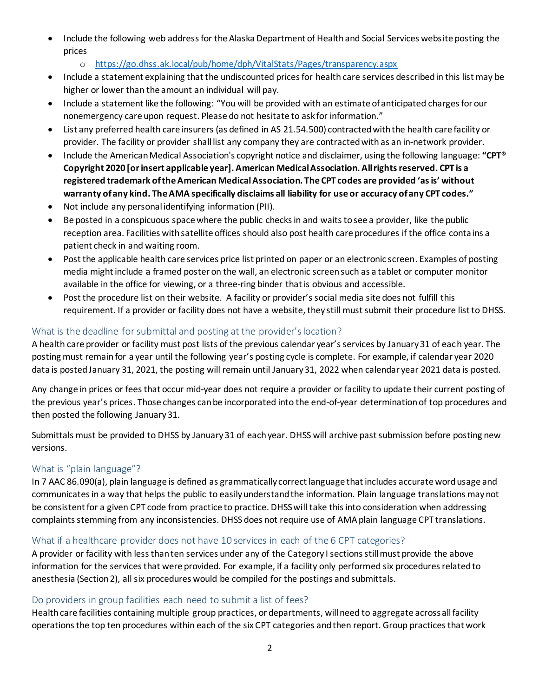- Include the following web address for the Alaska Department of Health and Social Services website posting the prices
	- o <https://go.dhss.ak.local/pub/home/dph/VitalStats/Pages/transparency.aspx>
- Include a statement explaining that the undiscounted prices for health care services described in this list may be higher or lower than the amount an individual will pay.
- • Include a statement like the following: "You will be provided with an estimate of anticipated charges for our nonemergency care upon request. Please do not hesitate to ask for information."
- List any preferred health care insurers (as defined in AS 21.54.500) contracted with the health care facility or provider. The facility or provider shall list any company they are contracted with as an in-network provider.
- **registered trademark of the American MedicalAssociation. The CPT codes are provided 'asis' without** • Include the American Medical Association's copyright notice and disclaimer, using the following language: **"CPT® Copyright 2020 [or insert applicable year]. American MedicalAssociation. Allrights reserved. CPT is a warranty of any kind. The AMA specifically disclaims all liability for use or accuracy of any CPT codes."**
- Not include any personal identifying information (PII).
- Be posted in a conspicuous space where the public checks in and waits to see a provider, like the public reception area. Facilities with satellite offices should also post health care procedures if the office conta ins a patient check in and waiting room.
- Post the applicable health care services price list printed on paper or an electronic screen. Examples of posting media might include a framed poster on the wall, an electronic screen such as a tablet or computer monitor available in the office for viewing, or a three-ring binder that is obvious and accessible.
- • Post the procedure list on their website. A facility or provider's social media site does not fulfill this requirement. If a provider or facility does not have a website, they still must submit their procedure list to DHSS.

## What is the deadline for submittal and posting at the provider's location?

 A health care provider or facility must post lists of the previous calendar year's services by January 31 of each year. The posting must remain for a year until the following year's posting cycle is complete. For example, if calendar year 2020 data is posted January 31, 2021, the posting will remain until January 31, 2022 when calendar year 2021 data is posted.

 the previous year's prices. Those changes can be incorporated into the end-of-year determination of top procedures and Any change in prices or fees that occur mid-year does not require a provider or facility to update their current posting of then posted the following January 31.

Submittals must be provided to DHSS by January 31 of each year. DHSS will archive past submission before posting new versions.

## What is "plain language"?

In 7 AAC 86.090(a), plain language is defined as grammatically correct language that includes accurate word usage and communicates in a way that helps the public to easily understand the information. Plain language translations may not be consistent for a given CPT code from practice to practice. DHSS will take this into consideration when addressing complaints stemming from any inconsistencies. DHSS does not require use of AMA plain language CPT translations.

## What if a healthcare provider does not have 10 services in each of the 6 CPT categories?

A provider or facility with less than ten services under any of the Category I sections still must provide the above information for the services that were provided. For example, if a facility only performed six procedures related to anesthesia (Section 2), all six procedures would be compiled for the postings and submittals.

## Do providers in group facilities each need to submit a list of fees?

Health care facilities containing multiple group practices, or departments, will need to aggregate across all facility operations the top ten procedures within each of the six CPT categories and then report. Group practices that work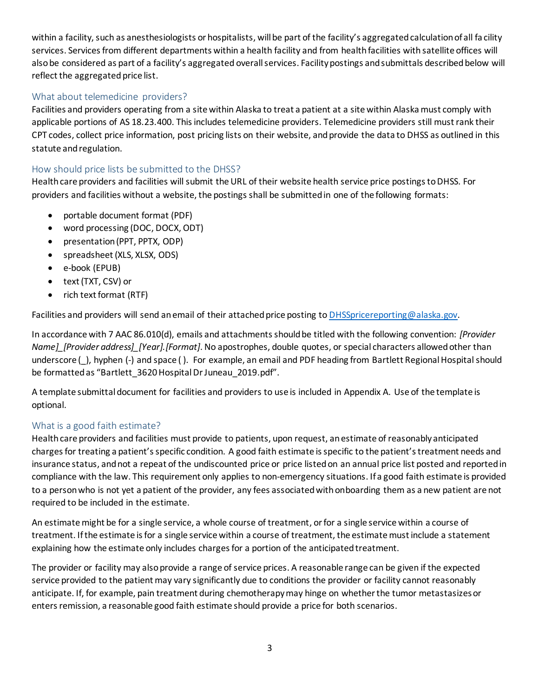within a facility, such as anesthesiologists or hospitalists, will be part of the facility's aggregated calculation of all fa cility services. Services from different departments within a health facility and from health facilities with satellite offices will also be considered as part of a facility's aggregated overall services. Facility postings and submittals described below will reflect the aggregated price list.

## What about telemedicine providers?

Facilities and providers operating from a site within Alaska to treat a patient at a site within Alaska must comply with applicable portions of AS 18.23.400. This includes telemedicine providers. Telemedicine providers still must rank their CPT codes, collect price information, post pricing lists on their website, and provide the data to DHSS as outlined in this statute and regulation.

## How should price lists be submitted to the DHSS?

Health care providers and facilities will submit the URL of their website health service price postings to DHSS. For providers and facilities without a website, the postings shall be submitted in one of the following formats:

- portable document format (PDF)
- word processing (DOC, DOCX, ODT)
- presentation (PPT, PPTX, ODP)
- spreadsheet (XLS, XLSX, ODS)
- e-book (EPUB)
- text (TXT, CSV) or
- rich text format (RTF)

Facilities and providers will send an email of their attached price posting t[o DHSSpricereporting@alaska.gov.](mailto:DHSSpricereporting@alaska.gov)

In accordance with 7 AAC 86.010(d), emails and attachments should be titled with the following convention: *[Provider Name]\_[Provider address]\_[Year].[Format]*. No apostrophes, double quotes, or special characters allowed other than underscore (), hyphen (-) and space (). For example, an email and PDF heading from Bartlett Regional Hospital should be formatted as "Bartlett\_3620 Hospital Dr Juneau\_2019.pdf".

A template submittal document for facilities and providers to use is included in Appendix A. Use of the template is optional.

## What is a good faith estimate?

charges for treating a patient's specific condition. A good faith estimate is specific to the patient's treatment needs and Health care providers and facilities must provide to patients, upon request, an estimate of reasonably anticipated insurance status, and not a repeat of the undiscounted price or price listed on an annual price list posted and reported in compliance with the law. This requirement only applies to non-emergency situations. If a good faith estimate is provided to a person who is not yet a patient of the provider, any fees associated with onboarding them as a new patient are not required to be included in the estimate.

An estimate might be for a single service, a whole course of treatment, or for a single service within a course of treatment. If the estimate is for a single service within a course of treatment, the estimate must include a statement explaining how the estimate only includes charges for a portion of the anticipated treatment.

The provider or facility may also provide a range of service prices. A reasonable range can be given if the expected service provided to the patient may vary significantly due to conditions the provider or facility cannot reasonably anticipate. If, for example, pain treatment during chemotherapy may hinge on whether the tumor metastasizes or enters remission, a reasonable good faith estimate should provide a price for both scenarios.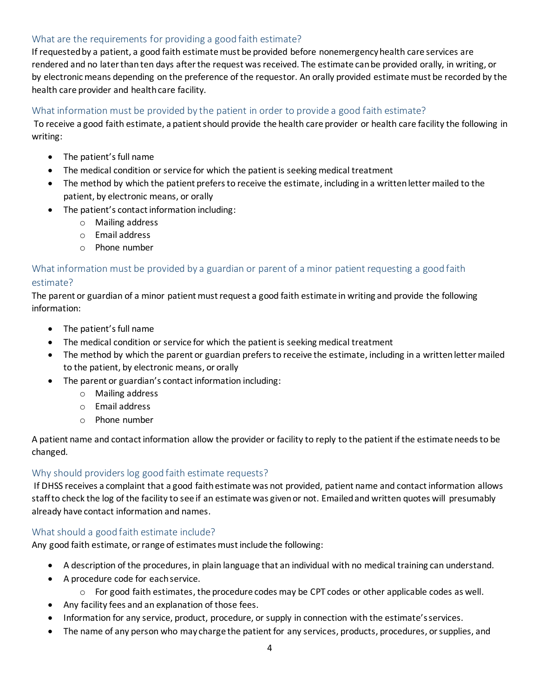## What are the requirements for providing a good faith estimate?

If requested by a patient, a good faith estimate must be provided before nonemergency health care services are rendered and no later than ten days after the request was received. The estimate can be provided orally, in writing, or by electronic means depending on the preference of the requestor. An orally provided estimate must be recorded by the health care provider and health care facility.

#### What information must be provided by the patient in order to provide a good faith estimate?

To receive a good faith estimate, a patient should provide the health care provider or health care facility the following in writing:

- The patient's full name
- The medical condition or service for which the patient is seeking medical treatment
- The method by which the patient prefers to receive the estimate, including in a written letter mailed to the patient, by electronic means, or orally
- The patient's contact information including:
	- o Mailing address
	- o Email address
	- o Phone number

## What information must be provided by a guardian or parent of a minor patient requesting a good faith estimate?

The parent or guardian of a minor patient must request a good faith estimate in writing and provide the following information:

- The patient's full name
- The medical condition or service for which the patient is seeking medical treatment
- The method by which the parent or guardian prefers to receive the estimate, including in a written letter mailed to the patient, by electronic means, or orally
- The parent or guardian's contact information including:
	- o Mailing address
	- o Email address
	- o Phone number

A patient name and contact information allow the provider or facility to reply to the patient if the estimate needs to be changed.

#### Why should providers log good faith estimate requests?

If DHSS receives a complaint that a good faith estimate was not provided, patient name and contact information allows staff to check the log of the facility to see if an estimate was given or not. Emailed and written quotes will presumably already have contact information and names.

## What should a good faith estimate include?

Any good faith estimate, or range of estimates must include the following:

- A description of the procedures, in plain language that an individual with no medical training can understand.
- A procedure code for each service.
	- $\circ$  For good faith estimates, the procedure codes may be CPT codes or other applicable codes as well.
- Any facility fees and an explanation of those fees.
- Information for any service, product, procedure, or supply in connection with the estimate'sservices.
- The name of any person who may charge the patient for any services, products, procedures, or supplies, and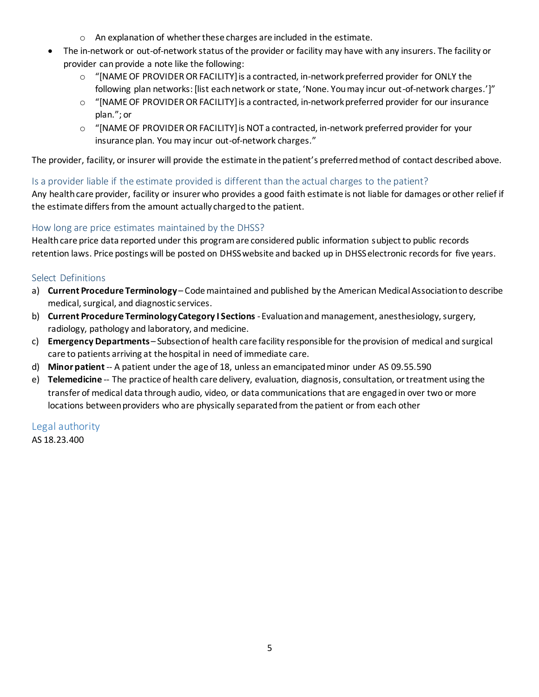- o An explanation of whether these charges are included in the estimate.
- The in-network or out-of-network status of the provider or facility may have with any insurers. The facility or provider can provide a note like the following:
	- following plan networks: [list each network or state, 'None. You may incur out-of-network charges.']" o "[NAME OF PROVIDER OR FACILITY] is a contracted, in-network preferred provider for ONLY the
	- plan."; or o "[NAME OF PROVIDER OR FACILITY] is a contracted, in-network preferred provider for our insurance
	- insurance plan. You may incur out-of-network charges." o "[NAME OF PROVIDER OR FACILITY] is NOT a contracted, in-network preferred provider for your

The provider, facility, or insurer will provide the estimate in the patient's preferred method of contact described above.

## Is a provider liable if the estimate provided is different than the actual charges to the patient?

Any health care provider, facility or insurer who provides a good faith estimate is not liable for damages or other relief if the estimate differs from the amount actually charged to the patient.

## How long are price estimates maintained by the DHSS?

Health care price data reported under this program are considered public information subject to public records retention laws. Price postings will be posted on DHSS website and backed up in DHSS electronic records for five years.

#### Select Definitions

- a) **Current Procedure Terminology**  Code maintained and published by the American Medical Association to describe medical, surgical, and diagnostic services.
- b) **Current Procedure TerminologyCategory I Sections** -Evaluation and management, anesthesiology, surgery, radiology, pathology and laboratory, and medicine.
- c) **Emergency Departments**  Subsection of health care facility responsible for the provision of medical and surgical care to patients arriving at the hospital in need of immediate care.
- d) **Minor patient** -- A patient under the age of 18, unless an emancipated minor under AS 09.55.590
- e) **Telemedicine** -- The practice of health care delivery, evaluation, diagnosis, consultation, or treatment using the transfer of medical data through audio, video, or data communications that are engaged in over two or more locations between providers who are physically separated from the patient or from each other

#### Legal authority

AS 18.23.400